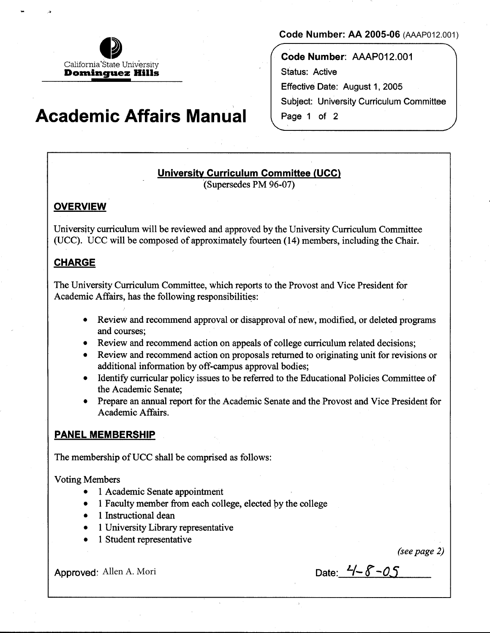

# \ **Academic Affairs Manual**

### **Code Number: AA 2005-06** (AAAP012.001)

**Code Number:** AAAP012.001 Status: Active Effective Date: August 1, 2005 Subject: University Curriculum Committee Page 1 of 2

## **University Curriculum Committee (UCC)**

·(Supersedes PM 96-07)

# **OVERVIEW**

,;,

University curriculum will be reviewed and approved by the University Curriculum Committee (UCC). UCC will be composed of approximately fourteen (14) members, including the Chair.

## **CHARGE**

The University Curriculum Committee, which reports to the Provost and Vice President for Academic Affairs, has the following responsibilities:

- Review and recommend approval or disapproval of new, modified, or deleted programs and courses;
- Review and recommend action on appeals of college curriculum related decisions;
- Review and recommend action on proposals returned to originating unit for revisions or additional information by off-campus approval bodies;
- Identify curricular policy issues to be referred to the Educational Policies Committee of the Academic Senate;
- Prepare an annual report for the Academic Senate and the Provost and Vice President for Academic Affairs.

### **PANEL MEMBERSHIP**

The membership of UCC shall be comprised as follows:

Voting Members

- 1 Academic Senate appointment
- 1 Faculty member from each college, elected by the college
- 1 Instructional dean
- 1 University Library representative
- 1 Student representative

*(seepage 2)* 

Approved: Allen A. Mori Date:  $-4-8-05$